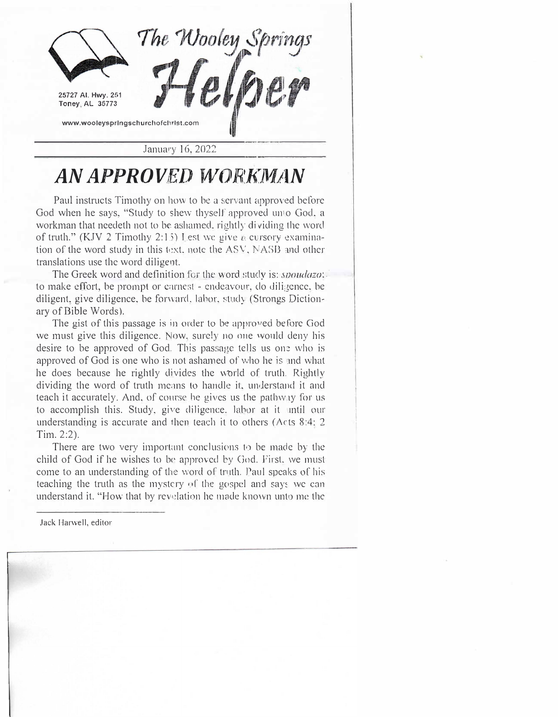

## *AN APPROVED WORKMAN*

Paul instructs Timothy on how to be a servant approved before God when he says, "Study to shew thyself approved umo God, a workman that needeth not to be ashamed, rightly dividing the word of truth." (KJV 2 Timothy 2:15) Lest we give a cursory examination of the word study in this text, note the  $ASV$ , NASB and other translations use the word diligent.

The Greek word and definition for the word study is: *spoudazo*: to make effort, be prompt or earnest - endeavour, do diligence, be diligent, give diligence, be forward, labor, study (Strongs Dictionary of Bible Words).

The gist of this passage is in order to be approved before God we must give this diligence. Now, surely no one would deny his desire to be approved of God. This passage tells us one who is approved of God is one who is not ashamed of who he is and what he does because he rightly divides the world of truth. Rightly dividing the word of truth means to handle it, understand it and teach it accurately. And, of course he gives us the pathway for us to accomplish this. Study, give diligence, labor at it until our understanding is accurate and then teach it to others ( $Acts$  8:4: 2 Tim. 2:2).

There are two very important conclusions to be made by the child of God if he wishes to be approved by God. First, we must come to an understanding of the word of truth. Paul speaks of his teaching the truth as the mystery of the gospel and says we can understand it. "How that by revelation he made known unto me the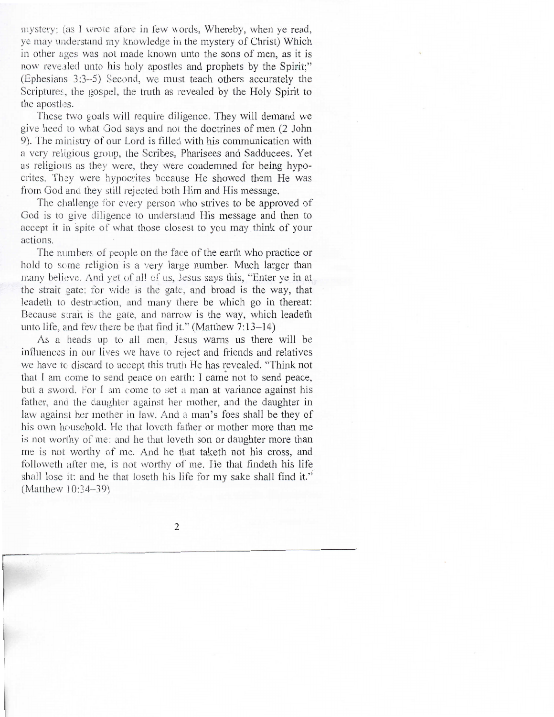mystery: (as I wrote afore in few words, Whereby, when ye read, ye may understand my knowledge in the mystery of Christ) Which in other ages was not made known unto the sons of men, as it is now revealed unto his holy apostles and prophets by the Spirit;" (Ephesians 3:3--5) Second, we must teach others accurately the Scriptures, the gospel, the truth as revealed by the Holy Spirit to the apostles.

These two goals will require diligence. They will demand we give heed to what God says and not the doctrines of men (2 John 9). The ministry of our Lord is filled with his communication with a very religious group, the Scribes, Pharisees and Sadducees. Yet as religious as they were, they were condemned for being hypocrites. They were hypocrites because He showed them He was from God and they still rejected both Him and His message.

The challenge for every person who strives to be approved of God is to give diligence to understand His message and then to accept it in spite of what those closest to you may think of your actions.

The numbers of people on the face of the earth who practice or hold to some religion is a very large number. Much larger than many believe. And yet of all of us, Jesus says this, "Enter ye in at the strait gate: for wide is the gate, and broad is the way, that leadeth to destruction, and many there be which go in thereat: Because strait is the gate, and narrow is the way, which leadeth unto life, and few there be that find it." (Matthew 7:13-14)

As a heads up to all men, Jesus warns us there will be influences in our lives we have to reject and friends and relatives we have to discard to accept this truth He has revealed. "Think not that I am come to send peace on earth: I came not to send peace, but a sword. For I am come to set a man at variance against his father, and the daughter against her mother, and the daughter in law against her mother in law. And a man's foes shall be they of his own household. He that loveth father or mother more than me is not worthy of me: and he that loveth son or daughter more than me is not worthy of me. And he that taketh not his cross, and followeth after me, is not worthy of me. He that findeth his life shall lose it: and he that loseth his life for my sake shall find it." (Matthew 10:34-39)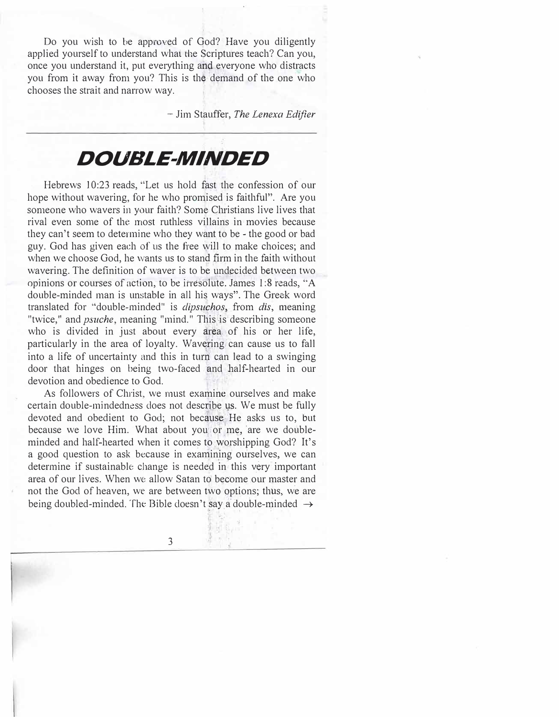Do you wish to be approved of God? Have you diligently applied yourself to understand what the Scriptures teach? Can you, once you understand it, put everything and everyone who distracts you from it away from you? This is the demand of the one who chooses the strait and narrow way.

- Jim Stauffer, *The Lenexa Edifier*

## *DOUBLE-MINDED*

Hebrews 10:23 reads, "Let us hold fast the confession of our hope without wavering, for he who promised is faithful". Are you someone who wavers in your faith? Some Christians live lives that rival even some of the most ruthless villains in movies because they can't seem to determine who they want to be - the good or bad guy. God has given each of us the free will to make choices; and when we choose God, he wants us to stand firm in the faith without wavering. The definition of waver is to be undecided between two opinions or courses of action, to be irresolute. James 1:8 reads, "A double-minded man is unstable in all his ways". The Greek word translated for "double-minded" is *dipsuchos*, from *dis*, meaning "twice," and *psuche,* meaning "mind." This is describing someone who is divided in just about every area of his or her life, particularly in the area of loyalty. Wavering can cause us to fall into a life of uncertainty and this in turn can lead to a swinging door that hinges on being two-faced and half-hearted in our devotion and obedience to God.

As followers of Christ, we must examine ourselves and make certain double-mindedness does not describe us. We must be fully devoted and obedient to God; not because He asks us to, but because we love Him. What about you or me, are we doubleminded and half-hearted when it comes to worshipping God? It's a good question to ask because in examining ourselves, we can determine if sustainable change is needed in this very important area of our lives. When we allow Satan to' become our master and not the God of heaven, we are between two options; thus, we are being doubled-minded. The Bible doesn't say a double-minded  $\rightarrow$ 

 $\frac{1}{2}$